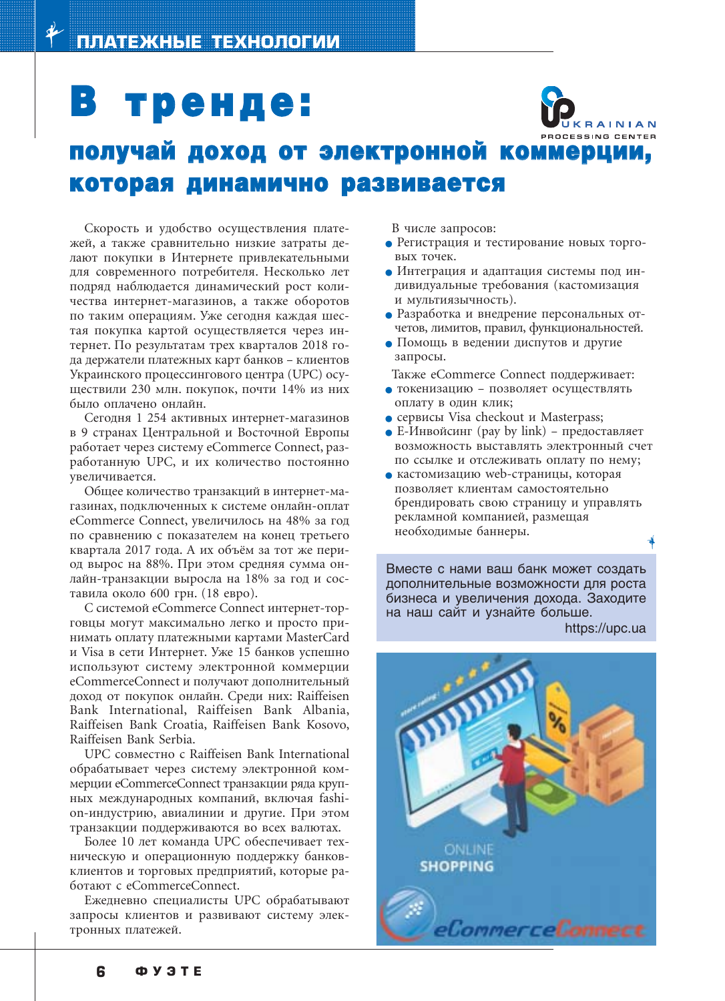## В трен д е:



 $\bigoplus$ 

## получай доход от электронной коммерции, которая динамично развивается

Скорость и удобство осуществления платежей, а также сравнительно низкие затраты делают покупки в Интернете привлекательными для современного потребителя. Несколько лет подряд наблюдается динамический рост количества интернет-магазинов, а также оборотов по таким операциям. Уже сегодня каждая шестая покупка картой осуществляется через интернет. По результатам трех кварталов 2018 года держатели платежных карт банков – клиентов Украинского процессингового центра (UPC) осуществили 230 млн. покупок, почти 14% из них было оплачено онлайн.

Сегодня 1 254 активных интернет-магазинов в 9 странах Центральной и Восточной Европы работает через систему eCommerce Connect, разработанную UPC, и их количество постоянно увеличивается.

Общее количество транзакций в интернет-магазинах, подключенных к системе онлайн-оплат eCommerce Connect, увеличилось на 48% за год по сравнению с показателем на конец третьего квартала 2017 года. А их объём за тот же период вырос на 88%. При этом средняя сумма онлайн-транзакции выросла на 18% за год и составила около 600 грн. (18 евро).

С системой eCommerce Connect интернет-торговцы могут максимально легко и просто принимать оплату платежными картами MasterCard и Visa в сети Интернет. Уже 15 банков успешно используют систему электронной коммерции eCommerceConnect и получают дополнительный доход от покупок онлайн. Среди них: Raiffeisen Bank International, Raiffeisen Bank Albania, Raiffeisen Bank Croatia, Raiffeisen Bank Kosovo, Raiffeisen Bank Serbia.

UPC совместно с Raiffeisen Bank International обрабатывает через систему электронной коммерции eCommerceConnect транзакции ряда крупных международных компаний, включая fashion-индустрию, авиалинии и другие. При этом транзакции поддерживаются во всех валютах.

Более 10 лет команда UPC обеспечивает техническую и операционную поддержку банковклиентов и торговых предприятий, которые работают с eCommerceConnect.

Ежедневно специалисты UPC обрабатывают запросы клиентов и развивают систему электронных платежей.

В числе запросов:

- Регистрация и тестирование новых торговых точек.
- Интеграция и адаптация системы под индивидуальные требования (кастомизация и мультиязычность).
- Разработка и внедрение персональных отчетов, лимитов, правил, функциональностей.
- Помощь в ведении диспутов и другие запросы.

Также eCommerce Connect поддерживает:

- токенизацию позволяет осуществлять оплату в один клик;
- сервисы Visa checkout и Masterpass;
- $\bullet$  E-Инвойсинг (pay by link) предоставляет возможность выставлять электронный счет по ссылке и отслеживать оплату по нему;
- кастомизацию web-страницы, которая позволяет клиентам самостоятельно брендировать свою страницу и управлять рекламной компанией, размещая необходимые баннеры.

Вместе с нами ваш банк может создать дополнительные возможности для роста бизнеса и увеличения дохода. Заходите на наш сайт и узнайте больше. https://upc.ua

ONLINE **SHOPPING** CommerceCo

**6 ФУЭТЕ**